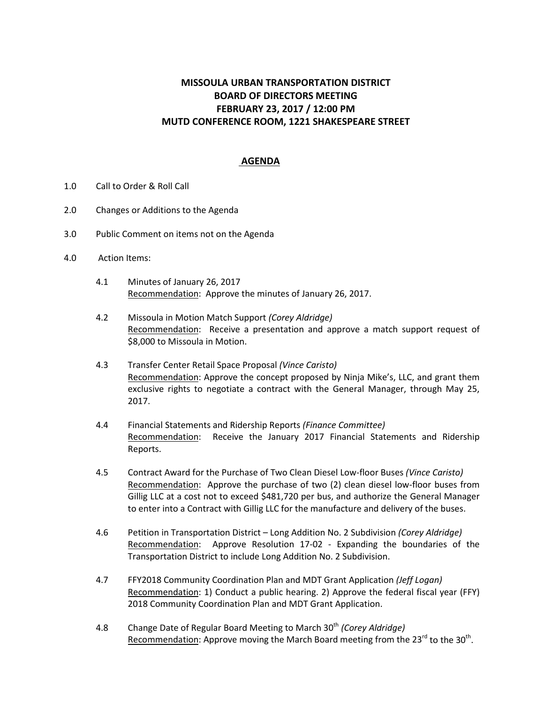## **MISSOULA URBAN TRANSPORTATION DISTRICT BOARD OF DIRECTORS MEETING FEBRUARY 23, 2017 / 12:00 PM MUTD CONFERENCE ROOM, 1221 SHAKESPEARE STREET**

## **AGENDA**

- 1.0 Call to Order & Roll Call
- 2.0 Changes or Additions to the Agenda
- 3.0 Public Comment on items not on the Agenda
- 4.0 Action Items:
	- 4.1 Minutes of January 26, 2017 Recommendation: Approve the minutes of January 26, 2017.
	- 4.2 Missoula in Motion Match Support *(Corey Aldridge)* Recommendation: Receive a presentation and approve a match support request of \$8,000 to Missoula in Motion.
	- 4.3 Transfer Center Retail Space Proposal *(Vince Caristo)* Recommendation: Approve the concept proposed by Ninja Mike's, LLC, and grant them exclusive rights to negotiate a contract with the General Manager, through May 25, 2017.
	- 4.4 Financial Statements and Ridership Reports *(Finance Committee)* Recommendation: Receive the January 2017 Financial Statements and Ridership Reports.
	- 4.5 Contract Award for the Purchase of Two Clean Diesel Low-floor Buses *(Vince Caristo)* Recommendation: Approve the purchase of two (2) clean diesel low-floor buses from Gillig LLC at a cost not to exceed \$481,720 per bus, and authorize the General Manager to enter into a Contract with Gillig LLC for the manufacture and delivery of the buses.
	- 4.6 Petition in Transportation District Long Addition No. 2 Subdivision *(Corey Aldridge)* Recommendation: Approve Resolution 17-02 - Expanding the boundaries of the Transportation District to include Long Addition No. 2 Subdivision.
	- 4.7 FFY2018 Community Coordination Plan and MDT Grant Application *(Jeff Logan)* Recommendation: 1) Conduct a public hearing. 2) Approve the federal fiscal year (FFY) 2018 Community Coordination Plan and MDT Grant Application.
	- 4.8 Change Date of Regular Board Meeting to March 30<sup>th</sup> *(Corey Aldridge)* Recommendation: Approve moving the March Board meeting from the 23<sup>rd</sup> to the 30<sup>th</sup>.